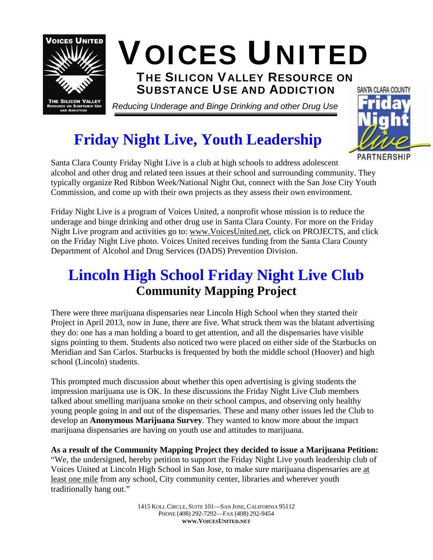

## **Friday Night Live, Youth Leadership**

PARTNERSHIP Santa Clara County Friday Night Live is a club at high schools to address adolescent alcohol and other drug and related teen issues at their school and surrounding community. They typically organize Red Ribbon Week/National Night Out, connect with the San Jose City Youth Commission, and come up with their own projects as they assess their own environment.

Friday Night Live is a program of Voices United, a nonprofit whose mission is to reduce the underage and binge drinking and other drug use in Santa Clara County. For more on the Friday Night Live program and activities go to: [www.VoicesUnited.net,](http://www.voicesunited.net/) click on PROJECTS, and click on the Friday Night Live photo. Voices United receives funding from the Santa Clara County Department of Alcohol and Drug Services (DADS) Prevention Division.

### **Lincoln High School Friday Night Live Club Community Mapping Project**

There were three marijuana dispensaries near Lincoln High School when they started their Project in April 2013, now in June, there are five. What struck them was the blatant advertising they do: one has a man holding a board to get attention, and all the dispensaries have visible signs pointing to them. Students also noticed two were placed on either side of the Starbucks on Meridian and San Carlos. Starbucks is frequented by both the middle school (Hoover) and high school (Lincoln) students.

This prompted much discussion about whether this open advertising is giving students the impression marijuana use is OK. In these discussions the Friday Night Live Club members talked about smelling marijuana smoke on their school campus, and observing only healthy young people going in and out of the dispensaries. These and many other issues led the Club to develop an **Anonymous Marijuana Survey**. They wanted to know more about the impact marijuana dispensaries are having on youth use and attitudes to marijuana.

**As a result of the Community Mapping Project they decided to issue a Marijuana Petition:**  "We, the undersigned, hereby petition to support the Friday Night Live youth leadership club of Voices United at Lincoln High School in San Jose, to make sure marijuana dispensaries are at least one mile from any school, City community center, libraries and wherever youth traditionally hang out."

> 1415 KOLL CIRCLE, SUITE 101—SAN JOSE, CALIFORNIA 95112 PHONE (408) 292-7292—FAX (408) 292-9454 **WWW.VOICESUNITED.NET**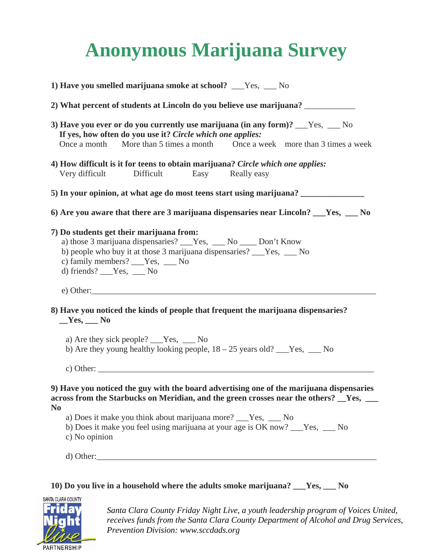# **Anonymous Marijuana Survey**

| 1) Have you smelled marijuana smoke at school? ___Yes, ___No                                                                                                                                                                                                                                                                                                  |
|---------------------------------------------------------------------------------------------------------------------------------------------------------------------------------------------------------------------------------------------------------------------------------------------------------------------------------------------------------------|
| 2) What percent of students at Lincoln do you believe use marijuana?                                                                                                                                                                                                                                                                                          |
| 3) Have you ever or do you currently use marijuana (in any form)? ___Yes, ___ No<br>If yes, how often do you use it? Circle which one applies:<br>More than 5 times a month Once a week more than 3 times a week<br>Once a month                                                                                                                              |
| 4) How difficult is it for teens to obtain marijuana? Circle which one applies:<br>Very difficult<br>Difficult<br>Easy Really easy                                                                                                                                                                                                                            |
| 5) In your opinion, at what age do most teens start using marijuana? ____________                                                                                                                                                                                                                                                                             |
| 6) Are you aware that there are 3 marijuana dispensaries near Lincoln? ___Yes, ___ No                                                                                                                                                                                                                                                                         |
| 7) Do students get their marijuana from:<br>a) those 3 marijuana dispensaries? ___Yes, ___No ____Don't Know<br>b) people who buy it at those 3 marijuana dispensaries? ___Yes, ___ No<br>c) family members? ___Yes, ___ No<br>d) friends? $Yes$ , $No$                                                                                                        |
| 8) Have you noticed the kinds of people that frequent the marijuana dispensaries?<br>$Yes,$ No<br>a) Are they sick people? ___Yes, ___ No<br>b) Are they young healthy looking people, $18 - 25$ years old? ___Yes, ___ No<br>c) Other: $\qquad \qquad$                                                                                                       |
| 9) Have you noticed the guy with the board advertising one of the marijuana dispensaries<br>across from the Starbucks on Meridian, and the green crosses near the others? Fes, Fes, and<br>N <sub>0</sub><br>a) Does it make you think about marijuana more? ___Yes, ___ No<br>b) Does it make you feel using marijuana at your age is OK now? ___Yes, ___ No |
| c) No opinion                                                                                                                                                                                                                                                                                                                                                 |

### **10) Do you live in a household where the adults smoke marijuana? \_\_\_Yes, \_\_\_ No**



 $\overline{\phantom{a}}$ *receives funds from the Santa Clara County Department of Alcohol and Drug Services,*  $C_{\text{max}}$   $E^{-1}$  and  $V^{-1}$  if  $V^{-1}$  is a suite  $d^{-1}$  if  $l-1$ Santa Clara County Friday Night Live, a youth leadership program of Voices United, *Prevention Division: www.sccdads.org*